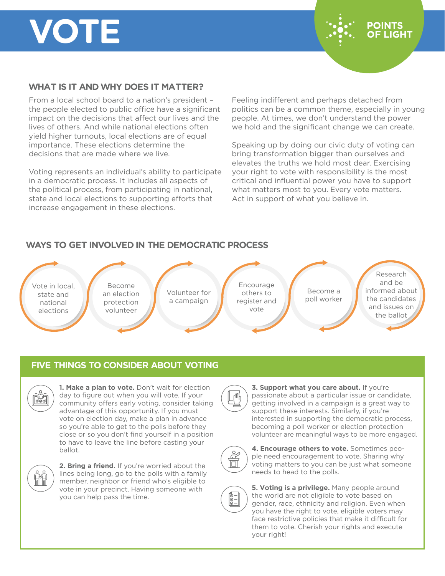# **VOTE**



### **WHAT IS IT AND WHY DOES IT MATTER?**

From a local school board to a nation's president – the people elected to public office have a significant impact on the decisions that affect our lives and the lives of others. And while national elections often yield higher turnouts, local elections are of equal importance. These elections determine the decisions that are made where we live.

Voting represents an individual's ability to participate in a democratic process. It includes all aspects of the political process, from participating in national, state and local elections to supporting efforts that increase engagement in these elections.

Feeling indifferent and perhaps detached from politics can be a common theme, especially in young people. At times, we don't understand the power we hold and the significant change we can create.

Speaking up by doing our civic duty of voting can bring transformation bigger than ourselves and elevates the truths we hold most dear. Exercising your right to vote with responsibility is the most critical and influential power you have to support what matters most to you. Every vote matters. Act in support of what you believe in.

## **WAYS TO GET INVOLVED IN THE DEMOCRATIC PROCESS**

Vote in local, state and national elections

Become an election protection volunteer

Volunteer for a campaign

Encourage others to register and vote

Become a poll worker

Research and be informed about the candidates and issues on the ballot

#### **FIVE THINGS TO CONSIDER ABOUT VOTING**



**1. Make a plan to vote.** Don't wait for election day to figure out when you will vote. If your community offers early voting, consider taking advantage of this opportunity. If you must vote on election day, make a plan in advance so you're able to get to the polls before they close or so you don't find yourself in a position to have to leave the line before casting your ballot.



**2. Bring a friend.** If you're worried about the lines being long, go to the polls with a family member, neighbor or friend who's eligible to vote in your precinct. Having someone with you can help pass the time.



**3. Support what you care about.** If you're passionate about a particular issue or candidate, getting involved in a campaign is a great way to support these interests. Similarly, if you're interested in supporting the democratic process, becoming a poll worker or election protection volunteer are meaningful ways to be more engaged.



**4. Encourage others to vote.** Sometimes people need encouragement to vote. Sharing why voting matters to you can be just what someone needs to head to the polls.



**5. Voting is a privilege.** Many people around the world are not eligible to vote based on gender, race, ethnicity and religion. Even when you have the right to vote, eligible voters may face restrictive policies that make it difficult for them to vote. Cherish your rights and execute your right!